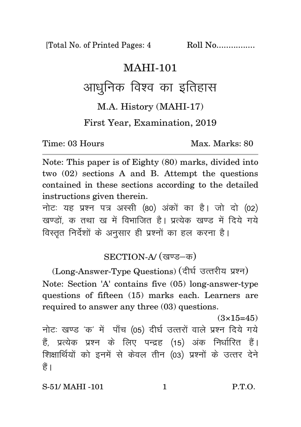[Total No. of Printed Pages: 4 Roll No.................

## MAHI-101

## आधुनिक विश्व का इतिहास

M.A. History (MAHI-17)

First Year, Examination, 2019

Time: 03 Hours Max. Marks: 80

Note: This paper is of Eighty (80) marks, divided into two (02) sections A and B. Attempt the questions contained in these sections according to the detailed instructions given therein.

नोट: यह प्रश्न पत्र अस्सी (80) अंकों का है। जो दो (02) खण्डों, क तथा ख में विभाजित है। प्रत्येक खण्ड में दिये गये विस्तृत निर्देशों के अनुसार ही प्रश्नों का हल करना है।

## SECTION-A/ (खण्ड-क)

(Long-Answer-Type Questions) (दीर्घ उत्तरीय प्रश्न) Note: Section 'A' contains five (05) long-answer-type questions of fifteen (15) marks each. Learners are required to answer any three (03) questions.

 $(3\times15=45)$ 

नोटः खण्ड 'क' में पाँच (05) दीर्घ उत्तरों वाले प्रश्न दिये गये हैं, प्रत्येक प्रश्न के लिए पन्द्रह (15) अंक निर्धारित हैं। शिक्षार्थियों को इनमें से केवल तीन (03) प्रश्नों के उत्तर देने हैं ।

S-51/ MAHI -101 1 P.T.O.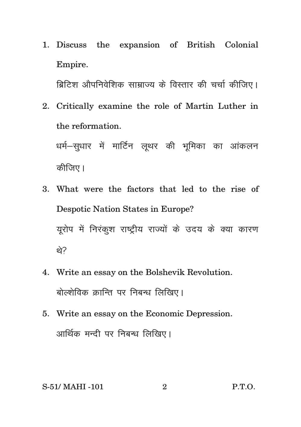1. Discuss the expansion of British Colonial Empire.

ब्रिटिश औपनिवेशिक साम्राज्य के विस्तार की चर्चा कीजिए।

2. Critically examine the role of Martin Luther in the reformation.

धर्म–सुधार में मार्टिन लुथर की भूमिका का आंकलन कीजिए।

- 3. What were the factors that led to the rise of Despotic Nation States in Europe? युरोप में निरंकुश राष्ट्रीय राज्यों के उदय के क्या कारण थे?
- 4. Write an essay on the Bolshevik Revolution. बोल्शेविक कान्ति पर निबन्ध लिखिए।
- 5. Write an essay on the Economic Depression. आर्थिक मन्दी पर निबन्ध लिखिए।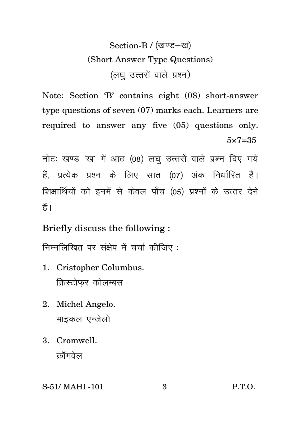Section-B / (खण्ड-ख) (Short Answer Type Questions) (लघ उत्तरों वाले प्रश्न)

Note: Section 'B' contains eight (08) short-answer type questions of seven (07) marks each. Learners are required to answer any five (05) questions only.  $5 \times 7 = 35$ 

नोटः खण्ड 'ख' में आठ (08) लघु उत्तरों वाले प्रश्न दिए गये हैं, प्रत्येक प्रश्न के लिए सात (07) अंक निर्धारित हैं। शिक्षार्थियों को इनमें से केवल पाँच (05) प्रश्नों के उत्तर देने हैं।

Briefly discuss the following :

निम्नलिखित पर संक्षेप में चर्चा कीजिए:

- 1. Cristopher Columbus. क्रिस्टोफर कोलम्बस
- 2. Michel Angelo. माइकल एन्जेलो
- 3. Cromwell. क्रॉमवेल